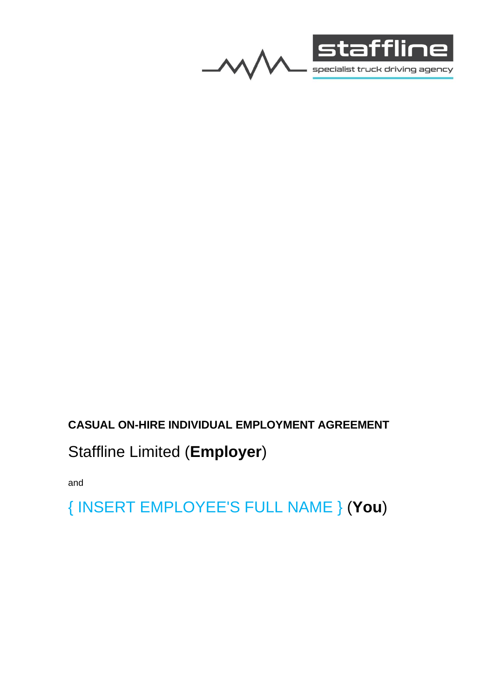



## **CASUAL ON-HIRE INDIVIDUAL EMPLOYMENT AGREEMENT**

# Staffline Limited (**Employer**)

and

{ INSERT EMPLOYEE'S FULL NAME } (**You**)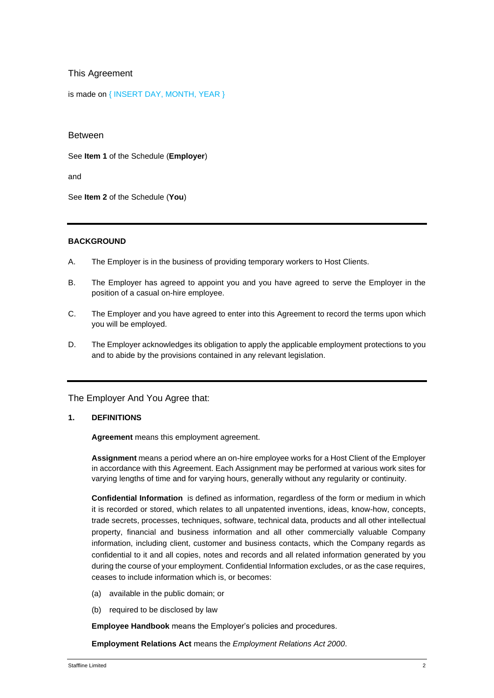## This Agreement

is made on { INSERT DAY, MONTH, YEAR }

Between

See **Item 1** of the Schedule (**Employer**)

and

See **Item 2** of the Schedule (**You**)

## **BACKGROUND**

- A. The Employer is in the business of providing temporary workers to Host Clients.
- B. The Employer has agreed to appoint you and you have agreed to serve the Employer in the position of a casual on-hire employee.
- C. The Employer and you have agreed to enter into this Agreement to record the terms upon which you will be employed.
- D. The Employer acknowledges its obligation to apply the applicable employment protections to you and to abide by the provisions contained in any relevant legislation.

The Employer And You Agree that:

## **1. DEFINITIONS**

**Agreement** means this employment agreement.

**Assignment** means a period where an on-hire employee works for a Host Client of the Employer in accordance with this Agreement. Each Assignment may be performed at various work sites for varying lengths of time and for varying hours, generally without any regularity or continuity.

**Confidential Information** is defined as information, regardless of the form or medium in which it is recorded or stored, which relates to all unpatented inventions, ideas, know-how, concepts, trade secrets, processes, techniques, software, technical data, products and all other intellectual property, financial and business information and all other commercially valuable Company information, including client, customer and business contacts, which the Company regards as confidential to it and all copies, notes and records and all related information generated by you during the course of your employment. Confidential Information excludes, or as the case requires, ceases to include information which is, or becomes:

- (a) available in the public domain; or
- (b) required to be disclosed by law

**Employee Handbook** means the Employer's policies and procedures.

**Employment Relations Act** means the *Employment Relations Act 2000*.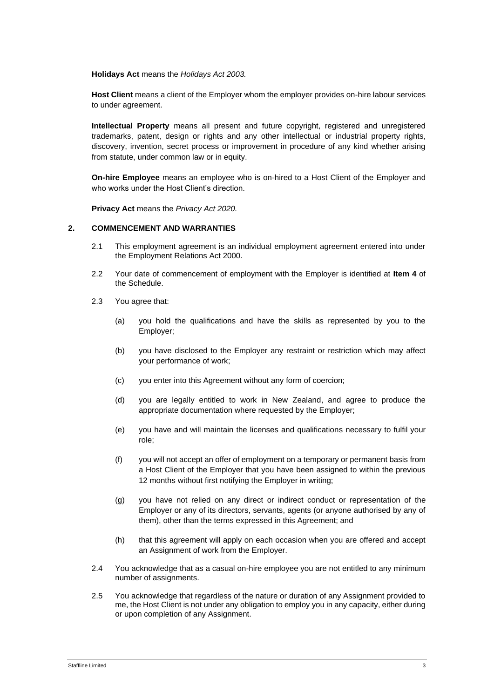**Holidays Act** means the *Holidays Act 2003.*

**Host Client** means a client of the Employer whom the employer provides on-hire labour services to under agreement.

**Intellectual Property** means all present and future copyright, registered and unregistered trademarks, patent, design or rights and any other intellectual or industrial property rights, discovery, invention, secret process or improvement in procedure of any kind whether arising from statute, under common law or in equity.

**On-hire Employee** means an employee who is on-hired to a Host Client of the Employer and who works under the Host Client's direction.

**Privacy Act** means the *Privacy Act 2020.*

#### **2. COMMENCEMENT AND WARRANTIES**

- 2.1 This employment agreement is an individual employment agreement entered into under the Employment Relations Act 2000.
- 2.2 Your date of commencement of employment with the Employer is identified at **Item 4** of the Schedule.
- 2.3 You agree that:
	- (a) you hold the qualifications and have the skills as represented by you to the Employer;
	- (b) you have disclosed to the Employer any restraint or restriction which may affect your performance of work;
	- (c) you enter into this Agreement without any form of coercion;
	- (d) you are legally entitled to work in New Zealand, and agree to produce the appropriate documentation where requested by the Employer;
	- (e) you have and will maintain the licenses and qualifications necessary to fulfil your role;
	- (f) you will not accept an offer of employment on a temporary or permanent basis from a Host Client of the Employer that you have been assigned to within the previous 12 months without first notifying the Employer in writing;
	- (g) you have not relied on any direct or indirect conduct or representation of the Employer or any of its directors, servants, agents (or anyone authorised by any of them), other than the terms expressed in this Agreement; and
	- (h) that this agreement will apply on each occasion when you are offered and accept an Assignment of work from the Employer.
- 2.4 You acknowledge that as a casual on-hire employee you are not entitled to any minimum number of assignments.
- 2.5 You acknowledge that regardless of the nature or duration of any Assignment provided to me, the Host Client is not under any obligation to employ you in any capacity, either during or upon completion of any Assignment.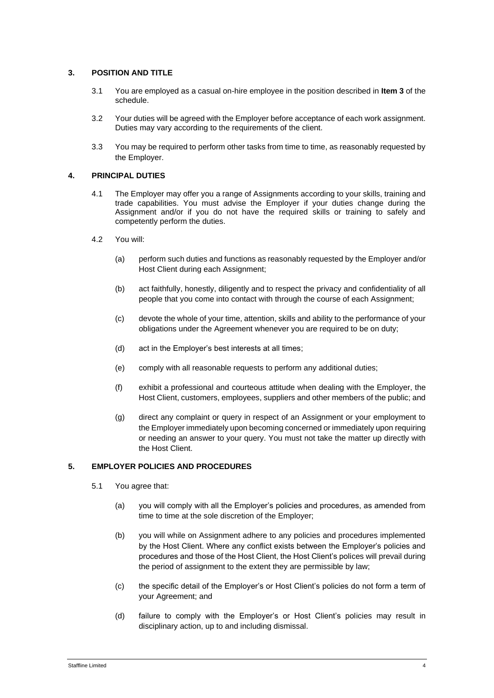## **3. POSITION AND TITLE**

- 3.1 You are employed as a casual on-hire employee in the position described in **Item 3** of the schedule.
- 3.2 Your duties will be agreed with the Employer before acceptance of each work assignment. Duties may vary according to the requirements of the client.
- 3.3 You may be required to perform other tasks from time to time, as reasonably requested by the Employer.

## **4. PRINCIPAL DUTIES**

- 4.1 The Employer may offer you a range of Assignments according to your skills, training and trade capabilities. You must advise the Employer if your duties change during the Assignment and/or if you do not have the required skills or training to safely and competently perform the duties.
- 4.2 You will:
	- (a) perform such duties and functions as reasonably requested by the Employer and/or Host Client during each Assignment;
	- (b) act faithfully, honestly, diligently and to respect the privacy and confidentiality of all people that you come into contact with through the course of each Assignment;
	- (c) devote the whole of your time, attention, skills and ability to the performance of your obligations under the Agreement whenever you are required to be on duty;
	- (d) act in the Employer's best interests at all times;
	- (e) comply with all reasonable requests to perform any additional duties;
	- (f) exhibit a professional and courteous attitude when dealing with the Employer, the Host Client, customers, employees, suppliers and other members of the public; and
	- (g) direct any complaint or query in respect of an Assignment or your employment to the Employer immediately upon becoming concerned or immediately upon requiring or needing an answer to your query. You must not take the matter up directly with the Host Client.

## **5. EMPLOYER POLICIES AND PROCEDURES**

- 5.1 You agree that:
	- (a) you will comply with all the Employer's policies and procedures, as amended from time to time at the sole discretion of the Employer;
	- (b) you will while on Assignment adhere to any policies and procedures implemented by the Host Client. Where any conflict exists between the Employer's policies and procedures and those of the Host Client, the Host Client's polices will prevail during the period of assignment to the extent they are permissible by law;
	- (c) the specific detail of the Employer's or Host Client's policies do not form a term of your Agreement; and
	- (d) failure to comply with the Employer's or Host Client's policies may result in disciplinary action, up to and including dismissal.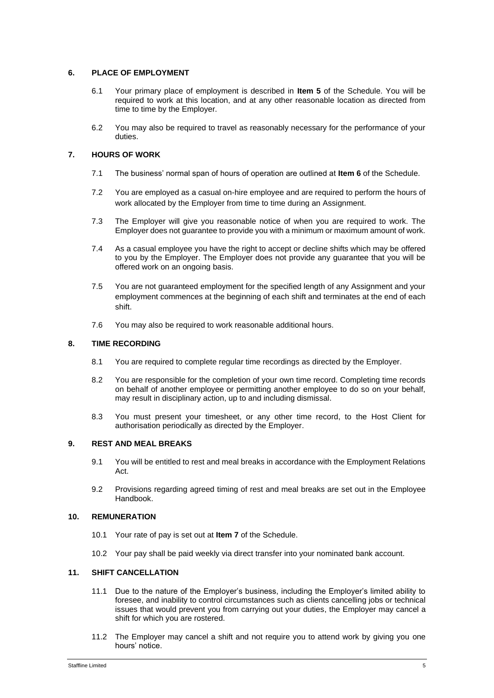## **6. PLACE OF EMPLOYMENT**

- 6.1 Your primary place of employment is described in **Item 5** of the Schedule. You will be required to work at this location, and at any other reasonable location as directed from time to time by the Employer.
- 6.2 You may also be required to travel as reasonably necessary for the performance of your duties.

## **7. HOURS OF WORK**

- 7.1 The business' normal span of hours of operation are outlined at **Item 6** of the Schedule.
- 7.2 You are employed as a casual on-hire employee and are required to perform the hours of work allocated by the Employer from time to time during an Assignment.
- 7.3 The Employer will give you reasonable notice of when you are required to work. The Employer does not guarantee to provide you with a minimum or maximum amount of work.
- 7.4 As a casual employee you have the right to accept or decline shifts which may be offered to you by the Employer. The Employer does not provide any guarantee that you will be offered work on an ongoing basis.
- 7.5 You are not guaranteed employment for the specified length of any Assignment and your employment commences at the beginning of each shift and terminates at the end of each shift.
- 7.6 You may also be required to work reasonable additional hours.

## **8. TIME RECORDING**

- 8.1 You are required to complete regular time recordings as directed by the Employer.
- 8.2 You are responsible for the completion of your own time record. Completing time records on behalf of another employee or permitting another employee to do so on your behalf, may result in disciplinary action, up to and including dismissal.
- 8.3 You must present your timesheet, or any other time record, to the Host Client for authorisation periodically as directed by the Employer.

## **9. REST AND MEAL BREAKS**

- 9.1 You will be entitled to rest and meal breaks in accordance with the Employment Relations Act.
- 9.2 Provisions regarding agreed timing of rest and meal breaks are set out in the Employee Handbook.

#### **10. REMUNERATION**

- 10.1 Your rate of pay is set out at **Item 7** of the Schedule.
- 10.2 Your pay shall be paid weekly via direct transfer into your nominated bank account.

#### **11. SHIFT CANCELLATION**

- 11.1 Due to the nature of the Employer's business, including the Employer's limited ability to foresee, and inability to control circumstances such as clients cancelling jobs or technical issues that would prevent you from carrying out your duties, the Employer may cancel a shift for which you are rostered.
- 11.2 The Employer may cancel a shift and not require you to attend work by giving you one hours' notice.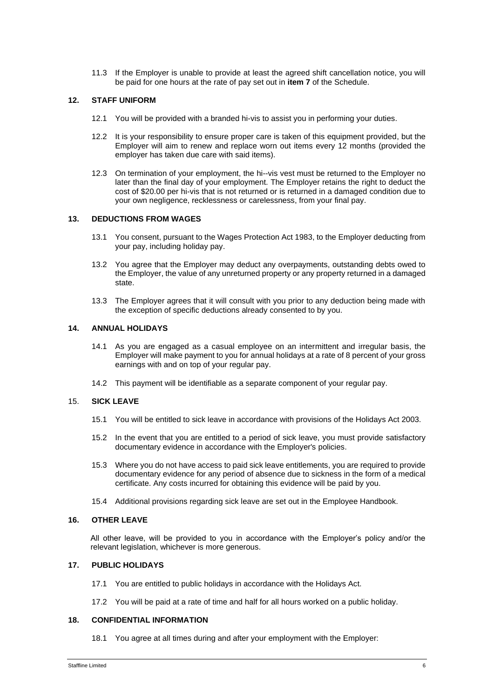11.3 If the Employer is unable to provide at least the agreed shift cancellation notice, you will be paid for one hours at the rate of pay set out in **item 7** of the Schedule.

#### **12. STAFF UNIFORM**

- 12.1 You will be provided with a branded hi-vis to assist you in performing your duties.
- 12.2 It is your responsibility to ensure proper care is taken of this equipment provided, but the Employer will aim to renew and replace worn out items every 12 months (provided the employer has taken due care with said items).
- 12.3 On termination of your employment, the hi--vis vest must be returned to the Employer no later than the final day of your employment. The Employer retains the right to deduct the cost of \$20.00 per hi-vis that is not returned or is returned in a damaged condition due to your own negligence, recklessness or carelessness, from your final pay.

#### **13. DEDUCTIONS FROM WAGES**

- 13.1 You consent, pursuant to the Wages Protection Act 1983, to the Employer deducting from your pay, including holiday pay.
- 13.2 You agree that the Employer may deduct any overpayments, outstanding debts owed to the Employer, the value of any unreturned property or any property returned in a damaged state.
- 13.3 The Employer agrees that it will consult with you prior to any deduction being made with the exception of specific deductions already consented to by you.

#### **14. ANNUAL HOLIDAYS**

- 14.1 As you are engaged as a casual employee on an intermittent and irregular basis, the Employer will make payment to you for annual holidays at a rate of 8 percent of your gross earnings with and on top of your regular pay.
- 14.2 This payment will be identifiable as a separate component of your regular pay.

#### 15. **SICK LEAVE**

- 15.1 You will be entitled to sick leave in accordance with provisions of the Holidays Act 2003.
- 15.2 In the event that you are entitled to a period of sick leave, you must provide satisfactory documentary evidence in accordance with the Employer's policies.
- 15.3 Where you do not have access to paid sick leave entitlements, you are required to provide documentary evidence for any period of absence due to sickness in the form of a medical certificate. Any costs incurred for obtaining this evidence will be paid by you.
- 15.4 Additional provisions regarding sick leave are set out in the Employee Handbook.

#### **16. OTHER LEAVE**

All other leave, will be provided to you in accordance with the Employer's policy and/or the relevant legislation, whichever is more generous.

#### **17. PUBLIC HOLIDAYS**

- 17.1 You are entitled to public holidays in accordance with the Holidays Act.
- 17.2 You will be paid at a rate of time and half for all hours worked on a public holiday.

#### **18. CONFIDENTIAL INFORMATION**

18.1 You agree at all times during and after your employment with the Employer: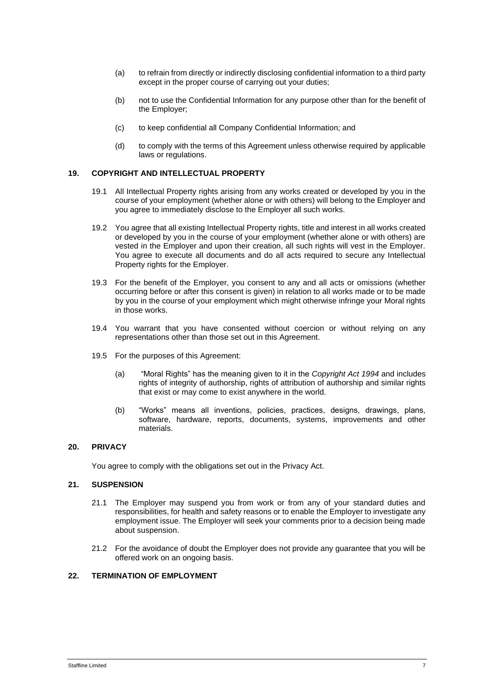- (a) to refrain from directly or indirectly disclosing confidential information to a third party except in the proper course of carrying out your duties;
- (b) not to use the Confidential Information for any purpose other than for the benefit of the Employer;
- (c) to keep confidential all Company Confidential Information; and
- (d) to comply with the terms of this Agreement unless otherwise required by applicable laws or regulations.

#### **19. COPYRIGHT AND INTELLECTUAL PROPERTY**

- 19.1 All Intellectual Property rights arising from any works created or developed by you in the course of your employment (whether alone or with others) will belong to the Employer and you agree to immediately disclose to the Employer all such works.
- 19.2 You agree that all existing Intellectual Property rights, title and interest in all works created or developed by you in the course of your employment (whether alone or with others) are vested in the Employer and upon their creation, all such rights will vest in the Employer. You agree to execute all documents and do all acts required to secure any Intellectual Property rights for the Employer.
- 19.3 For the benefit of the Employer, you consent to any and all acts or omissions (whether occurring before or after this consent is given) in relation to all works made or to be made by you in the course of your employment which might otherwise infringe your Moral rights in those works.
- 19.4 You warrant that you have consented without coercion or without relying on any representations other than those set out in this Agreement.
- 19.5 For the purposes of this Agreement:
	- (a) "Moral Rights" has the meaning given to it in the *Copyright Act 1994* and includes rights of integrity of authorship, rights of attribution of authorship and similar rights that exist or may come to exist anywhere in the world.
	- (b) "Works" means all inventions, policies, practices, designs, drawings, plans, software, hardware, reports, documents, systems, improvements and other materials.

## **20. PRIVACY**

You agree to comply with the obligations set out in the Privacy Act.

## **21. SUSPENSION**

- 21.1 The Employer may suspend you from work or from any of your standard duties and responsibilities, for health and safety reasons or to enable the Employer to investigate any employment issue. The Employer will seek your comments prior to a decision being made about suspension.
- 21.2 For the avoidance of doubt the Employer does not provide any guarantee that you will be offered work on an ongoing basis.

## **22. TERMINATION OF EMPLOYMENT**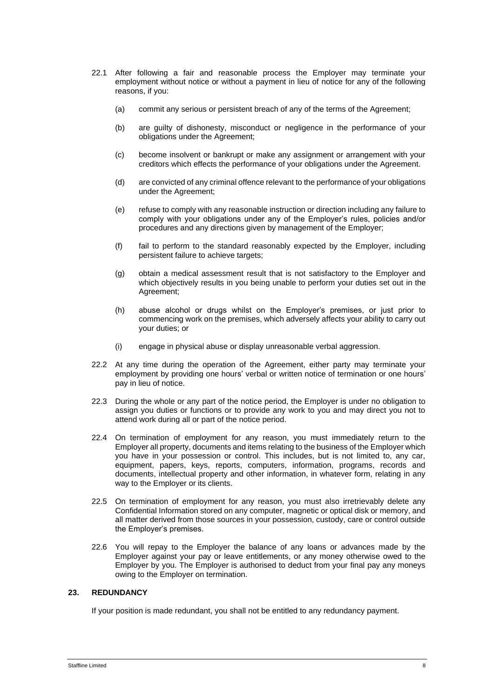- 22.1 After following a fair and reasonable process the Employer may terminate your employment without notice or without a payment in lieu of notice for any of the following reasons, if you:
	- (a) commit any serious or persistent breach of any of the terms of the Agreement;
	- (b) are guilty of dishonesty, misconduct or negligence in the performance of your obligations under the Agreement;
	- (c) become insolvent or bankrupt or make any assignment or arrangement with your creditors which effects the performance of your obligations under the Agreement.
	- (d) are convicted of any criminal offence relevant to the performance of your obligations under the Agreement;
	- (e) refuse to comply with any reasonable instruction or direction including any failure to comply with your obligations under any of the Employer's rules, policies and/or procedures and any directions given by management of the Employer;
	- (f) fail to perform to the standard reasonably expected by the Employer, including persistent failure to achieve targets;
	- (g) obtain a medical assessment result that is not satisfactory to the Employer and which objectively results in you being unable to perform your duties set out in the Agreement;
	- (h) abuse alcohol or drugs whilst on the Employer's premises, or just prior to commencing work on the premises, which adversely affects your ability to carry out your duties; or
	- (i) engage in physical abuse or display unreasonable verbal aggression.
- 22.2 At any time during the operation of the Agreement, either party may terminate your employment by providing one hours' verbal or written notice of termination or one hours' pay in lieu of notice.
- 22.3 During the whole or any part of the notice period, the Employer is under no obligation to assign you duties or functions or to provide any work to you and may direct you not to attend work during all or part of the notice period.
- 22.4 On termination of employment for any reason, you must immediately return to the Employer all property, documents and items relating to the business of the Employer which you have in your possession or control. This includes, but is not limited to, any car, equipment, papers, keys, reports, computers, information, programs, records and documents, intellectual property and other information, in whatever form, relating in any way to the Employer or its clients.
- 22.5 On termination of employment for any reason, you must also irretrievably delete any Confidential Information stored on any computer, magnetic or optical disk or memory, and all matter derived from those sources in your possession, custody, care or control outside the Employer's premises.
- 22.6 You will repay to the Employer the balance of any loans or advances made by the Employer against your pay or leave entitlements, or any money otherwise owed to the Employer by you. The Employer is authorised to deduct from your final pay any moneys owing to the Employer on termination.

## **23. REDUNDANCY**

If your position is made redundant, you shall not be entitled to any redundancy payment.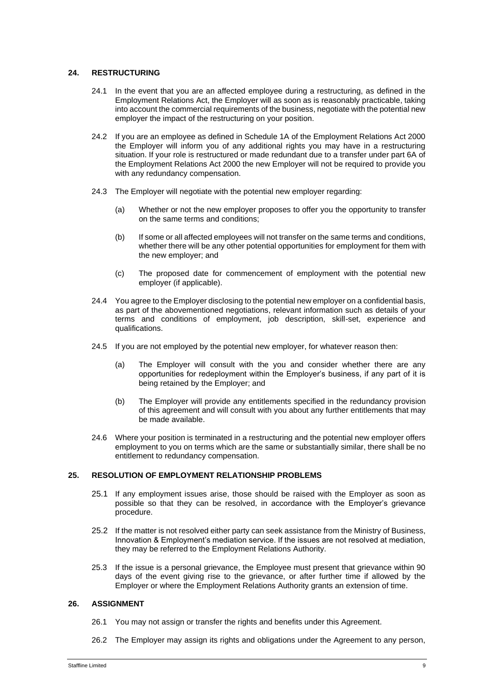## **24. RESTRUCTURING**

- 24.1 In the event that you are an affected employee during a restructuring, as defined in the Employment Relations Act, the Employer will as soon as is reasonably practicable, taking into account the commercial requirements of the business, negotiate with the potential new employer the impact of the restructuring on your position.
- 24.2 If you are an employee as defined in Schedule 1A of the Employment Relations Act 2000 the Employer will inform you of any additional rights you may have in a restructuring situation. If your role is restructured or made redundant due to a transfer under part 6A of the Employment Relations Act 2000 the new Employer will not be required to provide you with any redundancy compensation.
- 24.3 The Employer will negotiate with the potential new employer regarding:
	- (a) Whether or not the new employer proposes to offer you the opportunity to transfer on the same terms and conditions;
	- (b) If some or all affected employees will not transfer on the same terms and conditions, whether there will be any other potential opportunities for employment for them with the new employer; and
	- (c) The proposed date for commencement of employment with the potential new employer (if applicable).
- 24.4 You agree to the Employer disclosing to the potential new employer on a confidential basis, as part of the abovementioned negotiations, relevant information such as details of your terms and conditions of employment, job description, skill-set, experience and qualifications.
- 24.5 If you are not employed by the potential new employer, for whatever reason then:
	- (a) The Employer will consult with the you and consider whether there are any opportunities for redeployment within the Employer's business, if any part of it is being retained by the Employer; and
	- (b) The Employer will provide any entitlements specified in the redundancy provision of this agreement and will consult with you about any further entitlements that may be made available.
- 24.6 Where your position is terminated in a restructuring and the potential new employer offers employment to you on terms which are the same or substantially similar, there shall be no entitlement to redundancy compensation.

## **25. RESOLUTION OF EMPLOYMENT RELATIONSHIP PROBLEMS**

- 25.1 If any employment issues arise, those should be raised with the Employer as soon as possible so that they can be resolved, in accordance with the Employer's grievance procedure.
- 25.2 If the matter is not resolved either party can seek assistance from the Ministry of Business, Innovation & Employment's mediation service. If the issues are not resolved at mediation, they may be referred to the Employment Relations Authority.
- 25.3 If the issue is a personal grievance, the Employee must present that grievance within 90 days of the event giving rise to the grievance, or after further time if allowed by the Employer or where the Employment Relations Authority grants an extension of time.

## **26. ASSIGNMENT**

- 26.1 You may not assign or transfer the rights and benefits under this Agreement.
- 26.2 The Employer may assign its rights and obligations under the Agreement to any person,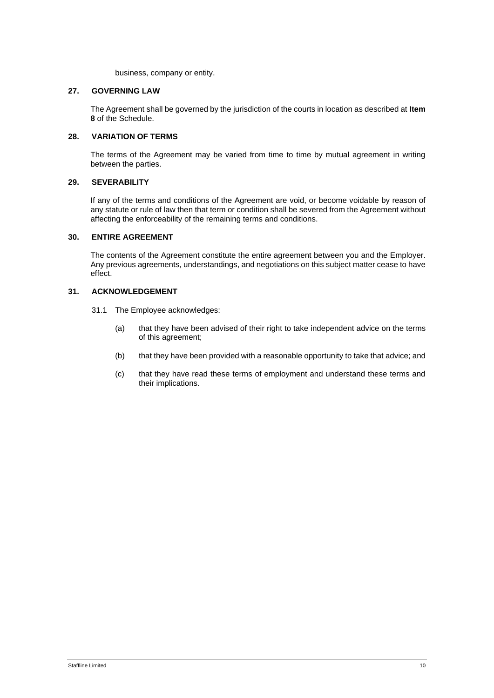business, company or entity.

## **27. GOVERNING LAW**

The Agreement shall be governed by the jurisdiction of the courts in location as described at **Item 8** of the Schedule.

## **28. VARIATION OF TERMS**

The terms of the Agreement may be varied from time to time by mutual agreement in writing between the parties.

## **29. SEVERABILITY**

If any of the terms and conditions of the Agreement are void, or become voidable by reason of any statute or rule of law then that term or condition shall be severed from the Agreement without affecting the enforceability of the remaining terms and conditions.

## **30. ENTIRE AGREEMENT**

The contents of the Agreement constitute the entire agreement between you and the Employer. Any previous agreements, understandings, and negotiations on this subject matter cease to have effect.

## **31. ACKNOWLEDGEMENT**

- 31.1 The Employee acknowledges:
	- (a) that they have been advised of their right to take independent advice on the terms of this agreement;
	- (b) that they have been provided with a reasonable opportunity to take that advice; and
	- (c) that they have read these terms of employment and understand these terms and their implications.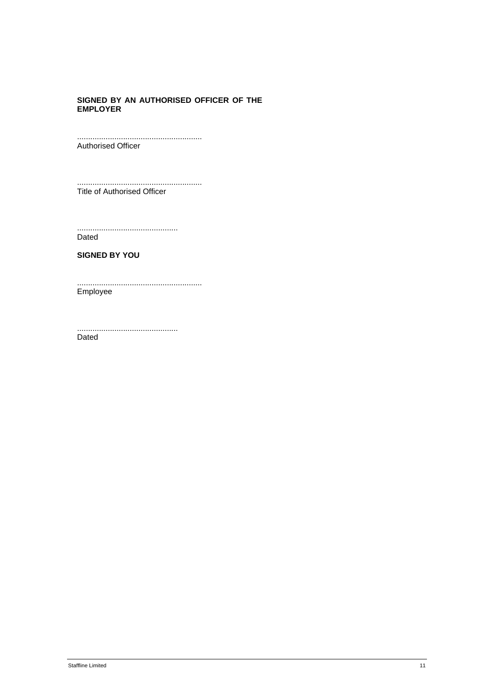## **SIGNED BY AN AUTHORISED OFFICER OF THE EMPLOYER**

......................................................... Authorised Officer

.........................................................

Title of Authorised Officer

.............................................. Dated

**SIGNED BY YOU**

......................................................... Employee

.............................................. Dated

Staffline Limited 11